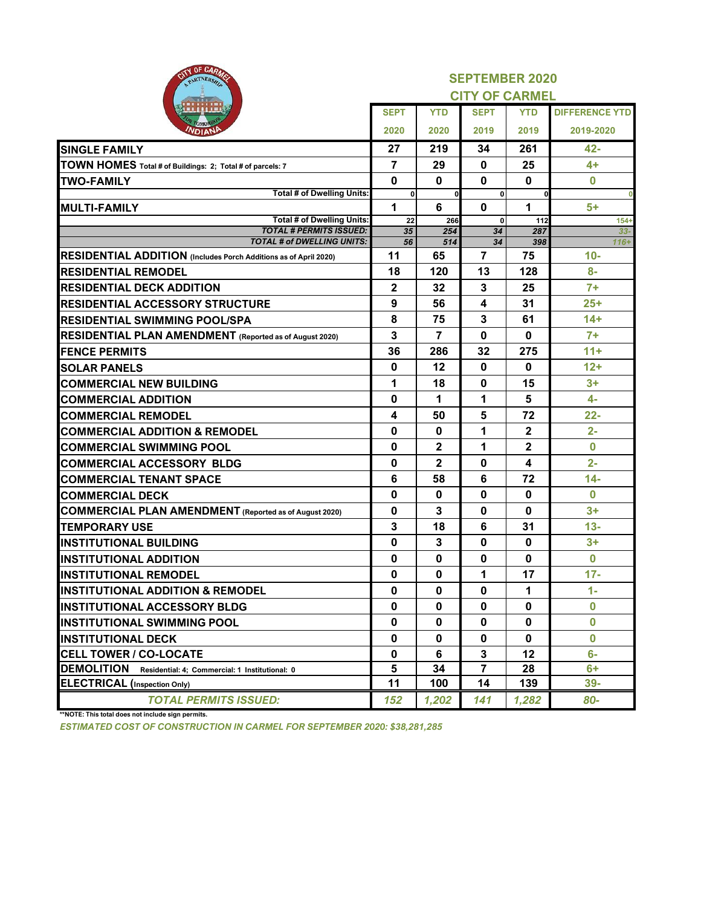| OF CARA                                                             | <b>SEPTEMBER 2020</b><br><b>CITY OF CARMEL</b> |                |              |              |                       |  |  |  |
|---------------------------------------------------------------------|------------------------------------------------|----------------|--------------|--------------|-----------------------|--|--|--|
|                                                                     | <b>SEPT</b>                                    | <b>YTD</b>     | <b>SEPT</b>  | <b>YTD</b>   | <b>DIFFERENCE YTD</b> |  |  |  |
|                                                                     | 2020                                           | 2020           | 2019         | 2019         | 2019-2020             |  |  |  |
| <b>SINGLE FAMILY</b>                                                | 27                                             | 219            | 34           | 261          | 42-                   |  |  |  |
| TOWN HOMES Total # of Buildings: 2; Total # of parcels: 7           | 7                                              | 29             | $\bf{0}$     | 25           | $4+$                  |  |  |  |
| <b>TWO-FAMILY</b>                                                   | 0                                              | $\mathbf 0$    | 0            | 0            | 0                     |  |  |  |
| <b>Total # of Dwelling Units:</b>                                   | $\mathbf{0}$                                   | 0              | $\mathbf{0}$ | 0            |                       |  |  |  |
| <b>MULTI-FAMILY</b>                                                 | 1                                              | 6              | 0            | 1            | 5+                    |  |  |  |
| <b>Total # of Dwelling Units:</b><br><b>TOTAL # PERMITS ISSUED:</b> | 22<br>35                                       | 266            | $\mathbf{0}$ | 112<br>287   | $154+$                |  |  |  |
| TOTAL # of DWELLING UNITS:                                          | 56                                             | 254<br>514     | 34<br>34     | 398          | $33 -$<br>$116+$      |  |  |  |
| RESIDENTIAL ADDITION (Includes Porch Additions as of April 2020)    | 11                                             | 65             | 7            | 75           | $10 -$                |  |  |  |
| <b>RESIDENTIAL REMODEL</b>                                          | 18                                             | 120            | 13           | 128          | $8-$                  |  |  |  |
| <b>RESIDENTIAL DECK ADDITION</b>                                    | 2                                              | 32             | 3            | 25           | $7+$                  |  |  |  |
| <b>RESIDENTIAL ACCESSORY STRUCTURE</b>                              | 9                                              | 56             | 4            | 31           | $25+$                 |  |  |  |
| <b>RESIDENTIAL SWIMMING POOL/SPA</b>                                | 8                                              | 75             | 3            | 61           | $14+$                 |  |  |  |
| RESIDENTIAL PLAN AMENDMENT (Reported as of August 2020)             | 3                                              | $\overline{7}$ | 0            | $\bf{0}$     | $7+$                  |  |  |  |
| <b>FENCE PERMITS</b>                                                | 36                                             | 286            | 32           | 275          | $11 +$                |  |  |  |
| <b>SOLAR PANELS</b>                                                 | $\bf{0}$                                       | 12             | $\mathbf 0$  | 0            | $12+$                 |  |  |  |
| <b>COMMERCIAL NEW BUILDING</b>                                      | 1                                              | 18             | 0            | 15           | $3+$                  |  |  |  |
| <b>COMMERCIAL ADDITION</b>                                          | 0                                              | 1              | 1            | 5            | $4-$                  |  |  |  |
| <b>COMMERCIAL REMODEL</b>                                           | 4                                              | 50             | 5            | 72           | $22 -$                |  |  |  |
| <b>COMMERCIAL ADDITION &amp; REMODEL</b>                            | 0                                              | $\bf{0}$       | 1            | $\mathbf{2}$ | $2 -$                 |  |  |  |
| <b>COMMERCIAL SWIMMING POOL</b>                                     | 0                                              | 2              | 1            | $\mathbf{2}$ | $\bf{0}$              |  |  |  |
| <b>COMMERCIAL ACCESSORY BLDG</b>                                    | 0                                              | $\mathbf 2$    | $\mathbf 0$  | 4            | $2-$                  |  |  |  |
| <b>COMMERCIAL TENANT SPACE</b>                                      | 6                                              | 58             | 6            | 72           | $14 -$                |  |  |  |
| <b>COMMERCIAL DECK</b>                                              | 0                                              | $\mathbf 0$    | 0            | $\bf{0}$     | $\bf{0}$              |  |  |  |
| <b>COMMERCIAL PLAN AMENDMENT</b> (Reported as of August 2020)       | 0                                              | 3              | $\mathbf 0$  | 0            | $3+$                  |  |  |  |
| <b>TEMPORARY USE</b>                                                | 3                                              | 18             | 6            | 31           | $13 -$                |  |  |  |
| <b>INSTITUTIONAL BUILDING</b>                                       | 0                                              | 3              | $\mathbf 0$  | $\mathbf{0}$ | $3+$                  |  |  |  |
| <b>INSTITUTIONAL ADDITION</b>                                       | 0                                              | 0              | 0            | 0            | 0                     |  |  |  |
| <b>INSTITUTIONAL REMODEL</b>                                        | 0                                              | 0              | 1            | 17           | $17 -$                |  |  |  |
| <b>INSTITUTIONAL ADDITION &amp; REMODEL</b>                         | $\bf{0}$                                       | $\mathbf{0}$   | $\bf{0}$     | 1            | $1 -$                 |  |  |  |
| <b>INSTITUTIONAL ACCESSORY BLDG</b>                                 | 0                                              | 0              | 0            | 0            | 0                     |  |  |  |
| <b>INSTITUTIONAL SWIMMING POOL</b>                                  | 0                                              | 0              | 0            | 0            | $\bf{0}$              |  |  |  |
| <b>INSTITUTIONAL DECK</b>                                           | 0                                              | 0              | 0            | $\mathbf{0}$ | $\bf{0}$              |  |  |  |
| <b>CELL TOWER / CO-LOCATE</b>                                       | 0                                              | 6              | 3            | $12 \,$      | $6-$                  |  |  |  |
| <b>DEMOLITION</b><br>Residential: 4; Commercial: 1 Institutional: 0 | 5                                              | 34             | 7            | 28           | 6+                    |  |  |  |
| <b>ELECTRICAL</b> (Inspection Only)                                 | 11                                             | 100            | 14           | 139          | $39-$                 |  |  |  |
| <b>TOTAL PERMITS ISSUED:</b>                                        | 152                                            | 1,202          | 141          | 1,282        | 80-                   |  |  |  |

**\*\*NOTE: This total does not include sign permits.**

*ESTIMATED COST OF CONSTRUCTION IN CARMEL FOR SEPTEMBER 2020: \$38,281,285*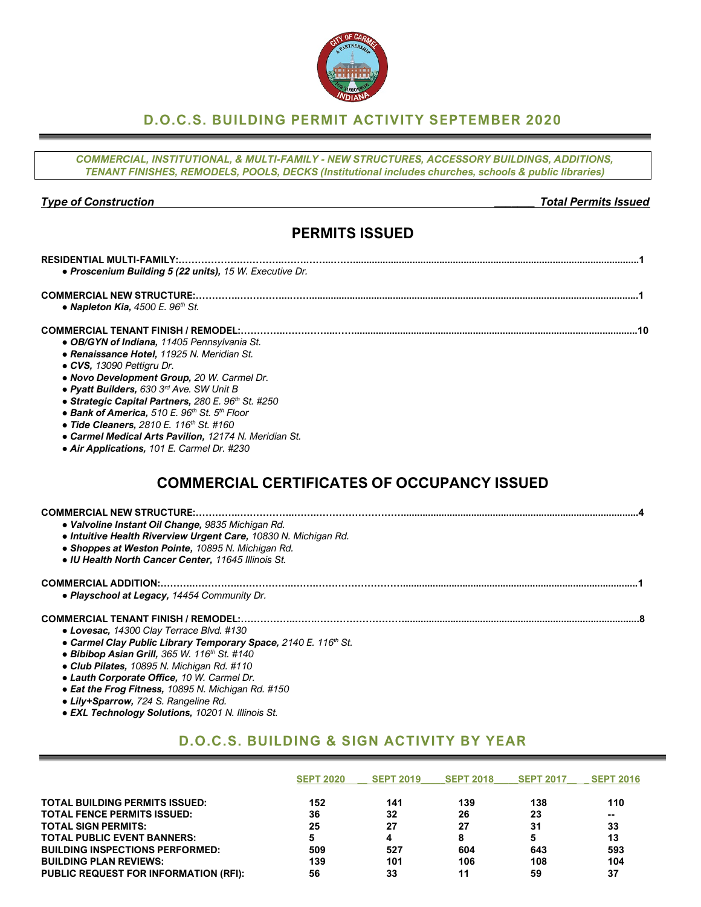## **D.O.C.S. BUILDING PERMIT ACTIVITY SEPTEMBER 2020**

*COMMERCIAL, INSTITUTIONAL, & MULTI-FAMILY - NEW STRUCTURES, ACCESSORY BUILDINGS, ADDITIONS, TENANT FINISHES, REMODELS, POOLS, DECKS (Institutional includes churches, schools & public libraries)*

*Type of Construction \_\_\_\_\_\_\_ Total Permits Issued*

# **PERMITS ISSUED**

| <b>RESIDENTIAL MULTI-FAMILY:.</b>                                    |
|----------------------------------------------------------------------|
| • Proscenium Building 5 (22 units), 15 W. Executive Dr.              |
| <b>COMMERCIAL NEW STRUCTURE:</b>                                     |
| • Napleton Kia, $4500$ E. $96th$ St.                                 |
| <b>COMMERCIAL TENANT FINISH / REMODEL:.</b>                          |
| • OB/GYN of Indiana, 11405 Pennsylvania St.                          |
| • Renaissance Hotel, 11925 N. Meridian St.                           |
| • CVS, 13090 Pettigru Dr.                                            |
| • Novo Development Group, 20 W. Carmel Dr.                           |
| • Pyatt Builders, 630 3rd Ave. SW Unit B                             |
| • Strategic Capital Partners, 280 E. 96th St. #250                   |
| • Bank of America, 510 E. 96 <sup>th</sup> St. 5 <sup>th</sup> Floor |
| • Tide Cleaners, 2810 E. 116th St. #160                              |
| • Carmel Medical Arts Pavilion, 12174 N. Meridian St.                |
| • Air Applications, 101 E. Carmel Dr. #230                           |
|                                                                      |
| <b>COMMERCIAL CERTIFICATES OF OCCUPANCY ISSUED</b>                   |
|                                                                      |
| • Valvoline Instant Oil Change, 9835 Michigan Rd.                    |
| • Intuitive Health Riverview Urgent Care, 10830 N. Michigan Rd.      |
| • Shoppes at Weston Pointe, 10895 N. Michigan Rd.                    |
| • IU Health North Cancer Center, 11645 Illinois St.                  |
|                                                                      |
|                                                                      |

*● Playschool at Legacy, 14454 Community Dr.*

### **COMMERCIAL TENANT FINISH / REMODEL:……………..…….……………………….......................................................................................8**

- *● Lovesac, 14300 Clay Terrace Blvd. #130*
- *● Carmel Clay Public Library Temporary Space, 2140 E. 116th St.*
- *● Bibibop Asian Grill, 365 W. 116th St. #140*
- *● Club Pilates, 10895 N. Michigan Rd. #110*
- *● Lauth Corporate Office, 10 W. Carmel Dr.*
- *● Eat the Frog Fitness, 10895 N. Michigan Rd. #150*
- *● Lily+Sparrow, 724 S. Rangeline Rd.*
- *● EXL Technology Solutions, 10201 N. Illinois St.*

# **D.O.C.S. BUILDING & SIGN ACTIVITY BY YEAR**

|                                              | <b>SEPT 2020</b> | <b>SEPT 2019</b> | <b>SEPT 2018</b> | <b>SEPT 2017</b> | <b>SEPT 2016</b> |
|----------------------------------------------|------------------|------------------|------------------|------------------|------------------|
| <b>TOTAL BUILDING PERMITS ISSUED:</b>        | 152              | 141              | 139              | 138              | 110              |
| <b>TOTAL FENCE PERMITS ISSUED:</b>           | 36               | 32               | 26               | 23               | $\sim$           |
| <b>TOTAL SIGN PERMITS:</b>                   | 25               | 27               | 27               | 31               | 33               |
| <b>TOTAL PUBLIC EVENT BANNERS:</b>           |                  | 4                | 8                | 5                | 13               |
| <b>BUILDING INSPECTIONS PERFORMED:</b>       | 509              | 527              | 604              | 643              | 593              |
| <b>BUILDING PLAN REVIEWS:</b>                | 139              | 101              | 106              | 108              | 104              |
| <b>PUBLIC REQUEST FOR INFORMATION (RFI):</b> | 56               | 33               | 11               | 59               | 37               |

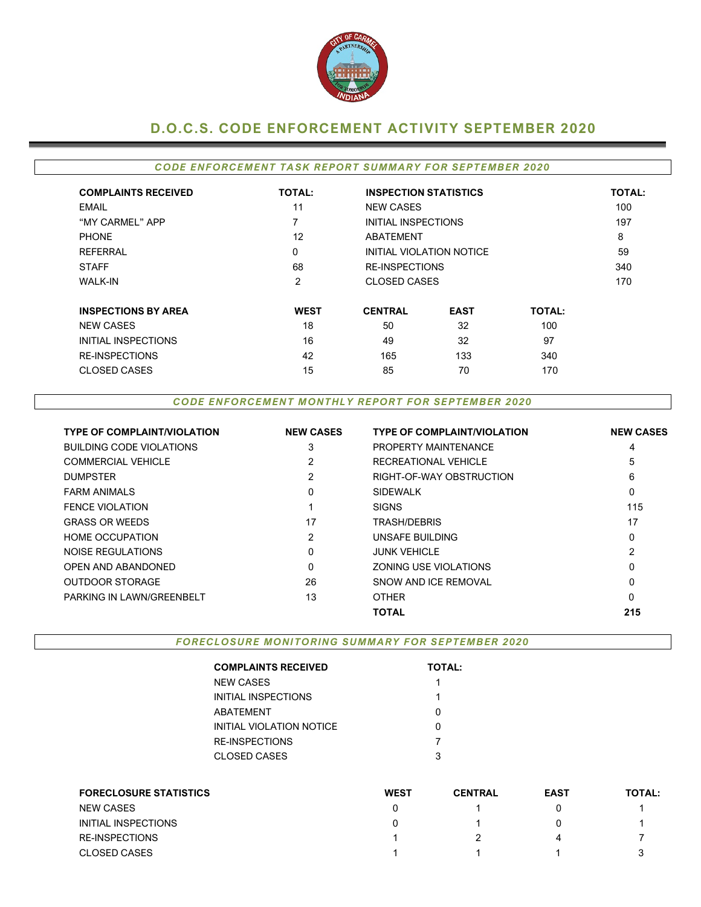

# **D.O.C.S. CODE ENFORCEMENT ACTIVITY SEPTEMBER 2020**

### *CODE ENFORCEMENT TASK REPORT SUMMARY FOR SEPTEMBER 2020*

| <b>COMPLAINTS RECEIVED</b> | <b>TOTAL:</b> | <b>INSPECTION STATISTICS</b> |                          |               | <b>TOTAL:</b> |
|----------------------------|---------------|------------------------------|--------------------------|---------------|---------------|
| EMAIL                      | 11            | <b>NEW CASES</b>             |                          |               | 100           |
| "MY CARMEL" APP            | 7             | INITIAL INSPECTIONS          |                          |               | 197           |
| <b>PHONE</b>               | 12            | ABATEMENT                    |                          |               | 8             |
| REFERRAL                   | 0             |                              | INITIAL VIOLATION NOTICE |               | 59            |
| <b>STAFF</b>               | 68            |                              | <b>RE-INSPECTIONS</b>    |               |               |
| <b>WALK-IN</b>             | 2             | <b>CLOSED CASES</b>          |                          |               | 170           |
| <b>INSPECTIONS BY AREA</b> | <b>WEST</b>   | <b>CENTRAL</b>               | <b>EAST</b>              | <b>TOTAL:</b> |               |
| <b>NEW CASES</b>           | 18            | 50                           | 32                       | 100           |               |
| INITIAL INSPECTIONS        | 16            | 49                           | 32                       | 97            |               |
| <b>RE-INSPECTIONS</b>      | 42            | 165                          | 133                      | 340           |               |
| <b>CLOSED CASES</b>        | 15            | 85                           | 70                       | 170           |               |

### *CODE ENFORCEMENT MONTHLY REPORT FOR SEPTEMBER 2020*

| <b>TYPE OF COMPLAINT/VIOLATION</b> | <b>NEW CASES</b> | <b>TYPE OF COMPLAINT/VIOLATION</b> | <b>NEW CASES</b> |
|------------------------------------|------------------|------------------------------------|------------------|
| <b>BUILDING CODE VIOLATIONS</b>    | 3                | PROPERTY MAINTENANCE               | 4                |
| <b>COMMERCIAL VEHICLE</b>          | 2                | RECREATIONAL VEHICLE               | 5                |
| <b>DUMPSTER</b>                    | 2                | RIGHT-OF-WAY OBSTRUCTION           | 6                |
| <b>FARM ANIMALS</b>                | 0                | <b>SIDEWALK</b>                    | 0                |
| <b>FENCE VIOLATION</b>             |                  | <b>SIGNS</b>                       | 115              |
| <b>GRASS OR WEEDS</b>              | 17               | <b>TRASH/DEBRIS</b>                | 17               |
| <b>HOME OCCUPATION</b>             | 2                | UNSAFE BUILDING                    | 0                |
| NOISE REGULATIONS                  | 0                | <b>JUNK VEHICLE</b>                | $\overline{2}$   |
| OPEN AND ABANDONED                 | 0                | <b>ZONING USE VIOLATIONS</b>       | 0                |
| <b>OUTDOOR STORAGE</b>             | 26               | SNOW AND ICF REMOVAL               | 0                |
| PARKING IN LAWN/GREENBELT          | 13               | <b>OTHER</b>                       | 0                |
|                                    |                  | <b>TOTAL</b>                       | 215              |

*FORECLOSURE MONITORING SUMMARY FOR SEPTEMBER 2020*

| <b>COMPLAINTS RECEIVED</b> | <b>TOTAL:</b> |
|----------------------------|---------------|
| NEW CASES                  | 1             |
| INITIAL INSPECTIONS        | 1             |
| ABATEMENT                  | ი             |
| INITIAL VIOLATION NOTICE   |               |
| RE-INSPECTIONS             |               |
| CLOSED CASES               | 3             |
|                            |               |

| <b>FORECLOSURE STATISTICS</b> | <b>WEST</b> | <b>CENTRAL</b> | <b>EAST</b> | <b>TOTAL:</b> |
|-------------------------------|-------------|----------------|-------------|---------------|
| <b>NEW CASES</b>              |             |                |             |               |
| INITIAL INSPECTIONS           |             |                |             |               |
| <b>RE-INSPECTIONS</b>         |             |                |             |               |
| <b>CLOSED CASES</b>           |             |                |             |               |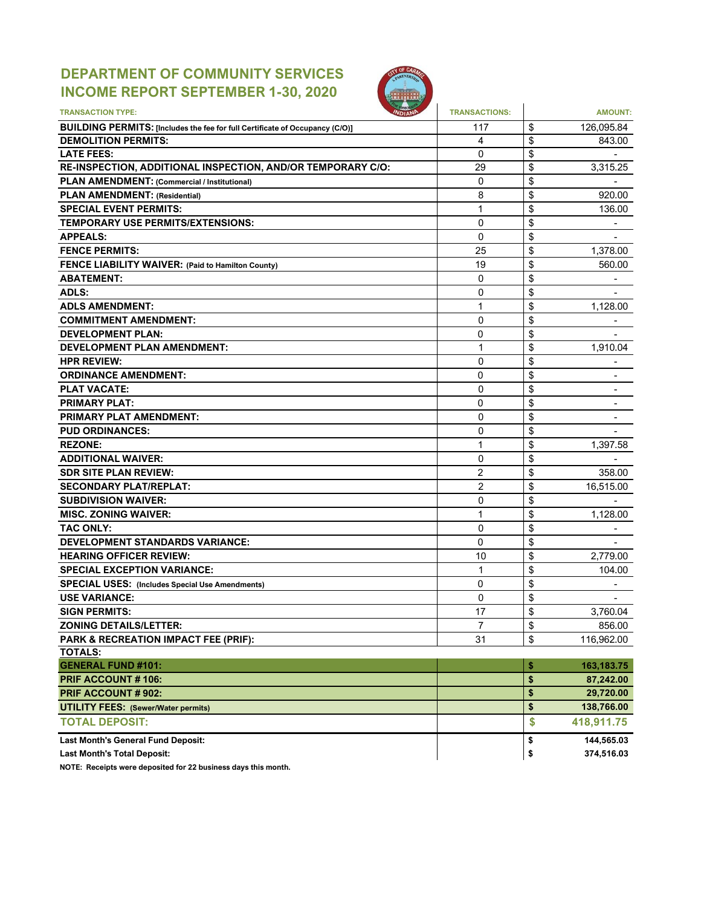# **DEPARTMENT OF COMMUNITY SERVICES INCOME REPORT SEPTEMBER 1-30, 2020**



| <b>TRANSACTION TYPE:</b>                                                     | <b>TRANSACTIONS:</b> | <b>AMOUNT:</b>                 |
|------------------------------------------------------------------------------|----------------------|--------------------------------|
| BUILDING PERMITS: [Includes the fee for full Certificate of Occupancy (C/O)] | 117                  | \$<br>126,095.84               |
| <b>DEMOLITION PERMITS:</b>                                                   | 4                    | \$<br>843.00                   |
| <b>LATE FEES:</b>                                                            | 0                    | \$                             |
| RE-INSPECTION, ADDITIONAL INSPECTION, AND/OR TEMPORARY C/O:                  | 29                   | \$<br>3,315.25                 |
| PLAN AMENDMENT: (Commercial / Institutional)                                 | 0                    | \$                             |
| <b>PLAN AMENDMENT: (Residential)</b>                                         | 8                    | \$<br>920.00                   |
| <b>SPECIAL EVENT PERMITS:</b>                                                | 1                    | \$<br>136.00                   |
| TEMPORARY USE PERMITS/EXTENSIONS:                                            | $\Omega$             | \$                             |
| <b>APPEALS:</b>                                                              | 0                    | \$                             |
| <b>FENCE PERMITS:</b>                                                        | 25                   | \$<br>1,378.00                 |
| FENCE LIABILITY WAIVER: (Paid to Hamilton County)                            | 19                   | \$<br>560.00                   |
| <b>ABATEMENT:</b>                                                            | $\Omega$             | \$                             |
| ADLS:                                                                        | $\Omega$             | \$                             |
| <b>ADLS AMENDMENT:</b>                                                       | 1                    | \$<br>1,128.00                 |
| <b>COMMITMENT AMENDMENT:</b>                                                 | $\mathbf{0}$         | \$                             |
| <b>DEVELOPMENT PLAN:</b>                                                     | 0                    | \$                             |
| <b>DEVELOPMENT PLAN AMENDMENT:</b>                                           | 1                    | \$<br>1,910.04                 |
| <b>HPR REVIEW:</b>                                                           | $\Omega$             | \$<br>-                        |
| <b>ORDINANCE AMENDMENT:</b>                                                  | 0                    | \$                             |
| <b>PLAT VACATE:</b>                                                          | $\Omega$             | \$                             |
| <b>PRIMARY PLAT:</b>                                                         | 0                    | \$                             |
| <b>PRIMARY PLAT AMENDMENT:</b>                                               | $\mathbf 0$          | \$                             |
| <b>PUD ORDINANCES:</b>                                                       | 0                    | \$                             |
| <b>REZONE:</b>                                                               | 1                    | \$<br>1,397.58                 |
| <b>ADDITIONAL WAIVER:</b>                                                    | $\Omega$             | \$                             |
| <b>SDR SITE PLAN REVIEW:</b>                                                 | $\overline{2}$       | \$<br>358.00                   |
| <b>SECONDARY PLAT/REPLAT:</b>                                                | $\overline{2}$       | \$<br>16,515.00                |
| <b>SUBDIVISION WAIVER:</b>                                                   | $\mathbf 0$          | \$                             |
| <b>MISC. ZONING WAIVER:</b>                                                  | 1                    | \$<br>1,128.00                 |
| <b>TAC ONLY:</b>                                                             | $\mathbf{0}$         | \$                             |
| DEVELOPMENT STANDARDS VARIANCE:                                              | 0                    | \$                             |
| <b>HEARING OFFICER REVIEW:</b>                                               | 10                   | \$<br>2,779.00                 |
| <b>SPECIAL EXCEPTION VARIANCE:</b>                                           | 1                    | \$<br>104.00                   |
| <b>SPECIAL USES: (Includes Special Use Amendments)</b>                       | $\Omega$             | \$                             |
| <b>USE VARIANCE:</b>                                                         | 0                    | \$<br>$\overline{\phantom{0}}$ |
| <b>SIGN PERMITS:</b>                                                         | 17                   | \$<br>3,760.04                 |
| <b>ZONING DETAILS/LETTER:</b>                                                | $\overline{7}$       | \$<br>856.00                   |
| PARK & RECREATION IMPACT FEE (PRIF):                                         | 31                   | \$<br>116,962.00               |
| <b>TOTALS:</b>                                                               |                      |                                |
| <b>GENERAL FUND #101:</b>                                                    |                      | \$<br>163, 183. 75             |
| PRIF ACCOUNT #106:                                                           |                      | \$<br>87,242.00                |
| PRIF ACCOUNT # 902:                                                          |                      | \$<br>29,720.00                |
| <b>UTILITY FEES: (Sewer/Water permits)</b>                                   |                      | \$<br>138,766.00               |
| <b>TOTAL DEPOSIT:</b>                                                        |                      | \$<br>418,911.75               |
| Last Month's General Fund Deposit:                                           |                      | \$<br>144,565.03               |
| <b>Last Month's Total Deposit:</b>                                           |                      | \$<br>374,516.03               |

**NOTE: Receipts were deposited for 22 business days this month.**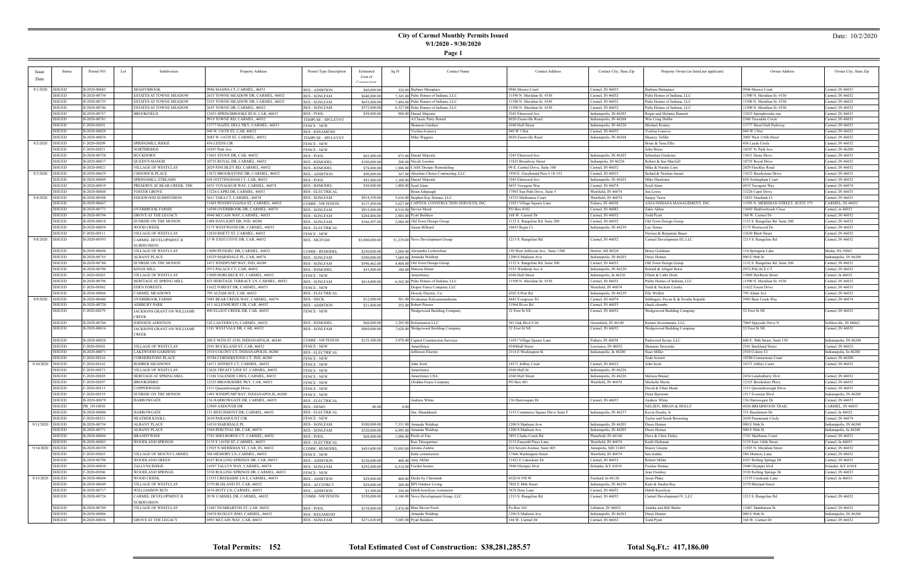## **City of Carmel Monthly Permits Issued 9/1/2020 - 9/30/2020**

**Page 1**

### Date: 10/2/2020

| <b>Issue</b>       | <b>Status</b>                  | Permit NO                    | Subdivision<br>Lot                           | Property Address                                                           | Permit Type Description                   | Estimated      | Sq Ft | <b>Contact Name</b>                               | <b>Contact Address</b>              | Contact City, State Zip | Property Owner (as listed per applicant)                | Owner Address                           | Owner City, State Zip                      |
|--------------------|--------------------------------|------------------------------|----------------------------------------------|----------------------------------------------------------------------------|-------------------------------------------|----------------|-------|---------------------------------------------------|-------------------------------------|-------------------------|---------------------------------------------------------|-----------------------------------------|--------------------------------------------|
| Date               |                                |                              |                                              |                                                                            |                                           | Cost of        |       |                                                   |                                     |                         |                                                         |                                         |                                            |
|                    |                                |                              |                                              |                                                                            |                                           | Constructio    |       |                                                   |                                     |                         |                                                         |                                         |                                            |
| 9/1/2020   ISSUED  |                                | B-2020-00683                 | <b>SHADYBROOK</b>                            | 9946 MASWA CT, CARMEL, 46033                                               | <b>RES - ADDITION</b>                     | \$60,000.00    |       | 320.00 Barbara Menapace                           | 9946 Maswa Court                    | Carmel, IN 46033        | Barbara Menapace                                        | 9946 Maswa Court                        | Carmel, IN 46033                           |
|                    | <b>ISSUED</b>                  | B-2020-00734                 | ESTATES AT TOWNE MEADOW                      | 2633 TOWNE MEADOW DR, CARMEL, 46032                                        | <b>RES - SGNLFAM</b>                      | \$640,000.00   |       | 7,345.00 Pulte Homes of Indiana, LLC              | 11590 N. Meridian St. #530          | Carmel, IN 46032        | Pulte Homes of Indiana, LLC                             | 11590 N. Meridian St. #530              | Carmel, IN 46032                           |
|                    | <b>ISSUED</b>                  | B-2020-00735                 | ESTATES AT TOWNE MEADOW                      | 2525 TOWNE MEADOW DR, CARMEL, 46032                                        | <b>RES - SGNLFAM</b>                      | \$655,000.00   |       | 7,494.00 Pulte Homes of Indiana, LLC              | 11590 N. Meridian St. #530          | Carmel, IN 46032        | Pulte Homes of Indiana, LLC                             | 11590 N. Meridian St. #530              | Carmel, IN 46032                           |
|                    | <b>ISSUED</b>                  | B-2020-00746                 | ESTATES AT TOWNE MEADOW                      | 2655 TOWNE DR, CARMEL, 46032                                               | <b>RES - SGNLFAM</b>                      | \$572,000.00   |       | 6,327.00 Pulte Homes of Indiana, LLC              | 11590 N. Meridian St. #530          | Carmel, IN 46032        | Pulte Homes of Indiana, LLC                             | 1590 N. Meridian St. #530               | Carmel, IN 46032                           |
|                    | <b>ISSUED</b>                  | B-2020-00757                 | <b>BROOKFIELD</b>                            | 12433 SPRINGBROOKE RUN, CAR, 46033                                         | <b>RES - POOL</b>                         | \$59,000.00    |       | 900.00 Daniel Majestic                            | 5245 Elmwood Ave                    | Indianapolis, IN 46203  | Roger and Melanie Bennett                               | 12433 Springbrooke run                  | Carmel, IN 46033                           |
|                    | <b>ISSUED</b>                  | B-2020-00781                 |                                              | 9919 TOWNE RD, CARMEL, 46032                                               | TEMPUSE - SPCLEVNT                        |                |       | A Classic Party Rental                            | 8020 Zionsville Road                | Indianapolis, IN 46268  | Wm Craig Dobb:                                          | 2360 Treesdale Circle                   | Carmel, IN 46032                           |
|                    | <b>ISSUED</b>                  | F-2020-00291                 |                                              | 13777 HAZEL DELL PKY, CARMEL, 46033                                        | <b>FENCE - NEW</b>                        |                |       | Shannon Gardner                                   | 4340 Hull Street                    | Indianapolis, IN 46226  | Michael Kinney                                          | 13777 Hazel Dell Parkway                | Carmel, IN 46033                           |
|                    | <b>ISSUED</b>                  | B-2020-00829                 |                                              | 949 W 136TH ST, CAR, 46032                                                 | <b>RES - RESAMEND</b>                     |                |       | Yvelina Ivanova                                   | 949 W 136st                         | Carmel, IN 46032        | Yvelina Ivanova                                         | 949 W 136st                             | Carmel, IN 46032                           |
|                    | <b>ISSUED</b>                  | B-2020-00834                 |                                              | 3085 W 116TH ST, CARMEL, 46032                                             | TEMPUSE - SPCLEVNT                        |                |       | Mike Wiggins                                      | 8020 Zionsville Road                | Indianapolis, IN 46268  | Shaarey Tefilla                                         | 3085 West 116th Street                  | Carmel, IN 46032                           |
| 9/2/2020   ISSUED  |                                | F-2020-00209                 | SPRINGMILL RIDGE                             | 456 LEEDS CIR                                                              | <b>FENCE - NEW</b>                        |                |       |                                                   |                                     |                         | Brian & Tena Ellis                                      | 456 Leeds Circle                        | Carmel, IN 46032                           |
|                    | <b>ISSUED</b>                  | F-2020-00221                 | NORTHRIDGE                                   | 10247 Park Ave                                                             | <b>FENCE - NEW</b>                        |                |       |                                                   |                                     |                         | John Weiss                                              | 10247 N. Park Ave.                      | Carmel, IN 46280                           |
|                    | <b>ISSUED</b>                  | B-2020-00758                 | <b>BUCKHORN</b>                              | 13601 STONE DR, CAR, 46032                                                 | <b>RES-POOL</b>                           | \$65,000.00    |       | 875.00 Daniel Majestic                            | 5245 Elmwood Ave                    | Indianapolis, IN 46203  | Sebastian Grudzien                                      | 13611 Stone Drive                       | Carmel, IN 46032                           |
|                    | <b>ISSUED</b>                  | B-2020-00817                 | <b>QUEEN'S MANOR</b>                         | 10755 ROYAL DR, CARMEL, 46032                                              | <b>RES - REMODEI</b>                      | \$100,000.00   |       | 208.00 Nicole Loomis                              | 11825 Broadway Street               | Indianpolis, IN 46236   | Robert & Sue MacGill                                    | 10755 Royal Drive                       | Carmel, IN 46032                           |
|                    | <b>ISSUED</b>                  | B-2020-00821                 | <b>VILLAGE OF WESTCLAY</b>                   | 2029 FINCHLEY RD, CARMEL, 46032                                            | <b>RES - REMODEL</b>                      | \$78,000.00    |       | 1,908.00 CASE Design/Remodeling                   | 99 E. Carmel Drive, Suite 100       | Carmel, IN 46032        | Mike & Natalie Linn                                     | 2029 Finchley Road                      | Carmel, IN 46032                           |
| 9/3/2020 ISSUED    |                                | B-2020-00629                 | CHESWICK PLACE                               | 13672 BROOKSTONE DR, CARMEL, 46032                                         | <b>RES - ADDITION</b>                     | \$90,000.00    |       | 347.00 Absolute Choice Contracting, LLC.          | 1950 E. Greyhound Pass #18-153      | Carmel, IN 46033        | Ikshad & Neelam Ansari                                  | 13672 Brookstone Driv                   | Carmel, IN 46032                           |
|                    | <b>ISSUED</b>                  | B-2020-00809                 | SPRINGMILL STREAMS                           | 658 NOTTINGHAM CT, CAR, 46032                                              | <b>RES-POOL</b>                           | \$85,000.00    |       | 1.100.00 Daniel Majestic                          | 5245 Elmwood Ave                    | Indianapolis, IN 46203  | Mike Masilonis                                          | 658 Nottingham Court                    | Carmel, IN 46032                           |
|                    | <b>ISSUED</b>                  | B-2020-00819                 | PRESERVE AT BEAR CREEK, THE                  | 4435 VOYAGEUR WAY, CARMEL, 46074                                           | <b>RES - REMODEL</b>                      | \$30,000.00    |       | 1,800.00 Syed Alam                                | 4435 Voyageur Way                   | Carmel, IN 46074        | Syed Alam                                               | 4435 Voyageur Way                       | Carmel, IN 46074                           |
|                    | <b>ISSUED</b>                  | B-2020-00848                 | FOSTER GROVE                                 | 3226 CAPRI DR, CARMEL, 46033                                               | <b>RES - ELECTRICA</b>                    |                |       | Brian Ashpaugh                                    | 17903 Sun Park Drive, Suite 5       | Westfield, IN 46074     | Jon Lewis                                               | 13226 Capri Drive                       | Carmel, IN 46033                           |
| 9/4/2020   ISSUED  |                                | B-2020-00508                 | EDGEWOOD SUBDIVISION                         | 3611 TARA CT, CARMEL, 46074                                                | <b>RES - SGNLFAM</b>                      | \$914,559.00   |       | 5,616.00 Stephen Kay Homes, LLC                   | 14723 Melbourne Court               | Westfield, IN 46074     | Sanjay Veera                                            | 13853 Ninebark Ct                       | Carmel, IN 46033                           |
|                    | <b>ISSUED</b>                  | B-2020-00667                 |                                              | 11405 PENNSYLVANIA ST, CARMEL, 46032                                       | <b>COMM - NWTENFIN</b>                    | \$137,450.00   |       | 5,627.00 CAPITOL CONSTRUCTION SERVICES, INC.      | 11051 Village Square Lane           | Fishers, IN 46038       | AXIA INDIANA MANAGEMENT, INC.                           | 11595 N. MERIDIAN STREET, SUITE 375     | CARMEL, IN 46032                           |
|                    | <b>ISSUED</b>                  | B-2020-00773                 | <b>OVERBROOK FARMS</b>                       | 14298 OVERBROOK DR, CARMEL, 46074                                          | <b>RES - SGNLFAM</b>                      | \$915,000.00   |       | 8.516.00 Steven Moed                              | PO Box 4102                         | Carmel, IN 46082        | Zakir Akbar                                             | 13843 Shallowbrook Close                | Carmel, in 46032                           |
|                    | <b>ISSUED</b>                  | B-2020-00794                 | <b>GROVE AT THE LEGACY</b>                   | 6946 MCCAIN WAY, CARMEL, 46033                                             | <b>RES - SGNLFAM</b>                      | \$264,806.00   |       | 2,903.00 Pyatt Builders                           | 168 W. Carmel Dr                    | Carmel, IN 46032        | Todd Pyatt                                              | 168 W. Carmel Dr                        | Carmel, IN 46032                           |
|                    | <b>ISSUED</b><br><b>ISSUED</b> | B-2020-00810<br>B-2020-00854 | SUNRISE ON THE MONON                         | 1498 DAYLIGHT DR, IND, 46280                                               | <b>RES - SGNLFAM</b>                      | \$366,507.00   |       | 2,004.00 Old Town Design Group<br>Jaisun Hilliard | 1132 S. Rangeline Rd. Suite 200     | Carmel, IN 46032        | Old Town Design Group                                   | 1132 S. Rangeline Rd. Suite 200         | Carmel, IN 46032                           |
|                    | <b>ISSUED</b>                  | F-2020-00311                 | WOOD CREEK                                   | 5175 WESTWOOD DR, CARMEL, 46033<br>12630 RHETT ST, CARMEL, 46032           | <b>RES - ELECTRICAL</b>                   |                |       |                                                   | 10653 Regis Ct.                     | Indianapolis, IN 46239  | Leo Tamez                                               | 5175 Westwood Dr                        | Carmel, IN 46033                           |
| 9/8/2020   ISSUED  |                                | B-2020-00593                 | VILLAGE OF WESTCLAY<br>CARMEL DEVELOPMENT II | 15 W EXECUTIVE DR, CAR, 46032                                              | <b>FENCE - NEW</b><br><b>RES - MLTFAM</b> |                |       |                                                   | 1215 S. Rangeline Rd                | Carmel, IN 46032        | Nerissa & Benjamin Bauer<br>Carmel Development III, LLC | 12630 Rhett Street                      | Carmel, IN 46032<br>Carmel, IN 46032       |
|                    |                                |                              | <b>SUBDIVISION</b>                           |                                                                            |                                           | \$5,000,000.00 |       | 51,239.00 Novo Development Group                  |                                     |                         |                                                         | 1215 S. Rangeline Rd                    |                                            |
|                    | <b>ISSUED</b>                  | B-2020-00694                 | VILLAGE OF WESTCLAY                          | 13090 PETIGRU DR, CARMEL, 46032                                            | <b>COMM - REMODEI</b>                     | \$250,000.00   |       | 2,000.00 Alexandra Lichorobiec                    | 150 West Jefferson Ave., Sutie 1300 | Detroit, MI 48226       | <b>Bruce Goldman</b>                                    | 134 Springton Lake                      | Media, PA 19063                            |
|                    | <b>ISSUED</b>                  | B-2020-00755                 | ALBANY PLACE                                 | 14329 MARSDALE PL, CAR, 46074                                              | <b>RES - SGNLFAM</b>                      | \$300,000.00   |       | 7,689.00 Amanda Waldrup                           | 1200 S Madison Avw                  | Indianapolis, IN 46203  | Drees Homes                                             | 900 E 96th St                           | Indianapolis, IN 46240                     |
|                    | <b>ISSUED</b>                  | B-2020-00780                 | SUNRISE ON THE MONON                         | 1472 WINDPUMP WAY, IND, 46280                                              | <b>RES - SGNLFAM</b>                      | \$596,462.00   |       | 4,404.00 Old Town Design Group                    | 1132 S. Rangeline Rd. Suite 200     | Carmel, IN 46032        | Old Town Design Group                                   | 1132 S. Rangeline Rd. Suite 200         | Carmel, IN 46032                           |
|                    | <b>ISSUED</b>                  | B-2020-00790                 | KINGS MILL                                   | 2972 PALACE CT, CAR, 46032                                                 | <b>RES - REMODEI</b>                      | \$53,000.00    |       | 180.00 Marissa Doner                              | 5335 Winthrop Ave A                 | Indianapolis, IN 46220  | Ronald & Abigail Boris                                  | 2972 PALACE CT                          | Carmel, IN 46032                           |
|                    | <b>ISSUED</b>                  | F-2020-00283                 | VILLAGE OF WESTCLAY                          | 13009 HORLBECK ST, CARMEL, 46032                                           | <b>FENCE - NEW</b>                        |                |       | Amerifence                                        | 4340 Hull Street                    | Indianapolis, In 46226  | Elliott & Cathi Dock                                    | 13009 Horlbeck Street                   | Carmel, In 46032                           |
|                    | <b>ISSUED</b>                  | B-2020-00796                 | HERITAGE AT SPRING MILL                      | 423 HERITAGE TERRACE LN, CARMEL, 46032                                     | RES - SGNLFAM                             | \$614,000.00   |       | 6,562.00 Pulte Homes of Indiana, LLC              | 11590 N. Meridian St. #530          | Carmel, IN 46032        | Pullte Homes of Indiana, LLC                            | 1590 N. Meridian St. #530               | Carmel, IN 46032                           |
|                    | <b>ISSUED</b>                  | F-2020-00302                 | EDEN FORESTS                                 | 1622 FOREST DR, CARMEL, 4603.                                              | <b>FENCE - NEW</b>                        |                |       | Draper Fence Company LLC                          |                                     | Westfield, IN 46074     | Todd & Nichole Crosby                                   | 11622 Forest Drive                      | Carmel, IN 46033                           |
|                    | <b>ISSUED</b>                  | B-2020-00866                 | CARMEL MEADOWS                               | 795 ALTAM AVE, CAR, 46032                                                  | <b>RES - ELECTRICAL</b>                   |                |       | Dowdy Electric, Co.                               | 4302 S Post Rd                      | Indianapolis, IN 46239  | Elle Wolfert                                            | 795 Altam Ave                           | Carmel, IN 46032                           |
| 9/9/2020   ISSUED  |                                | B-2020-00440                 | OVERBROOK FARMS                              | 3985 BEAR CREEK WAY, CARMEL, 46074                                         | RES - DECK                                | \$12,000.00    |       | 501.00 Sivakumar Kalyanasundaram                  | 4442 Evergreen Trl                  | Carmel, IN 46074        | Subbagari, Pavan K & Swathi Sripathi                    | 3985 Bear Creek Way                     | Carmel, IN 46074                           |
|                    | <b>ISSUED</b>                  | B-2020-00720                 | ASHBURY PARK                                 | 613 ALLENHURST CIR, CAR, 46032                                             | <b>RES - ADDITION</b>                     | \$21,000.00    |       | 252.00 Robert Penzes                              | 11964 River Rd                      | Carmel, IN 46033        | chuck chombs                                            |                                         |                                            |
|                    | <b>ISSUED</b>                  | F-2020-00279                 | JACKSONS GRANT ON WILLIAMS                   | 490 ELLIOT CREEK DR, CAR, 46032                                            | <b>FENCE - NEW</b>                        |                |       | Wedgewood Building Company                        | 32 First St NE                      | Carmel, IN 46032        | Wedgewood Building Company                              | 32 First St NE                          | Carmel, IN 46032                           |
|                    |                                |                              | CREEK                                        |                                                                            |                                           |                |       |                                                   |                                     |                         |                                                         |                                         |                                            |
|                    | <b>ISSUED</b>                  | B-2020-00784                 | JOHNSON ADDITION                             | 42 LANTERN LN, CARMEL, 46032                                               | <b>RES - REMODEI</b>                      | \$60,000.00    |       | 1,295.00 Reformation LLC                          | 501 Oak Blvd S Dr                   | Greenfield, IN 46140    | Renner Investments, LLC                                 | 7069 Spayside Drive N                   | Noblesville, IN 46062                      |
|                    | <b>ISSUED</b>                  | B-2020-00816                 | JACKSONS GRANT ON WILLIAMS                   | 1181 WESTVALE DR, CAR, 46032                                               | RES - SGNLFAM                             | \$969,000.00   |       | 7,620.00 Wedgewood Building Company               | 32 First St NE                      | Carmel, IN 46032        | Wedgewood Building Company                              | 32 First St NE                          | Carmel, IN 46032                           |
|                    |                                |                              | <b>CREEK</b>                                 |                                                                            |                                           |                |       |                                                   |                                     |                         |                                                         |                                         |                                            |
|                    | <b>ISSUED</b>                  | B-2020-00828                 |                                              | 280 E 96TH ST #250, INDIANAPOLIS, 46240                                    | <b>COMM - NWTENFIN</b>                    | \$125,300.00   |       | 3,970.00 Capitol Construction Services            | 11051 Village Square Lane           | Fishers, IN 46038       | Parkwood Seven, LLC                                     | 600 E. 96th Street, Suite 150           | Indianapolis, IN 46240                     |
|                    | <b>ISSUED</b>                  | F-2020-00301                 | VILLAGE OF WESTCLAY                          | 2541 BUCKLAND ST, CAR, 46032                                               | <b>FENCE - NEW</b>                        |                |       | Amerifence                                        | 4340Hull Street                     | Lawrence, IN 46032      | Shannon Strzynski                                       | 2541 Buckland Street                    | Carmel, IN 46032                           |
|                    | <b>ISSUED</b>                  | B-2020-00871                 | LAKEWOOD GARDENS                             | 2510 COLONY CT, INDIANAPOLIS, 46280                                        | <b>RES - ELECTRICAL</b>                   |                |       | Jefferson Electric                                | 2114 E Washington St                | Indianapolis, In 46280  | Staci Miller                                            | 2510 Colony Ct                          | Indianapolis, In 46280                     |
|                    | <b>ISSUED</b>                  | F-2020-00316                 | CORNERSTONE PLACE                            | 10784 CORNERSTONE CT, IND, 46280                                           | <b>FENCE - NEW</b>                        |                |       |                                                   |                                     |                         | Teah Averett                                            | 10784 Cornerstone Court                 | Carmel, IN 46280                           |
| 9/10/2020   ISSUED |                                | F-2020-00142                 | ROHRER MEADOWS                               | 14371 JEFFREY CT, CARMEL, 46032                                            | <b>FENCE - NEW</b>                        |                |       | John Scott                                        | 14371 Jeffrey Court                 | Carmel, IN 46032        | John Scott                                              | 14371 Jeffrey Court                     | Carmel, IN 46032                           |
|                    | <b>ISSUED</b>                  | F-2020-00273                 | VILLAGE OF WESTCLAY                          | 12628 TREATY LINE ST, CARMEL, 46032                                        | <b>FENCE - NEW</b>                        |                |       | Amerifence                                        | 4340 Hull St.                       | Indianapolis, IN 46226  |                                                         |                                         |                                            |
|                    | <b>ISSUED</b>                  | F-2020-00285                 | HERITAGE AT SPRING MILL                      | 1186 VALESIDE CRES, CARMEL, 46032                                          | <b>FENCE - NEW</b>                        |                |       | Amerifence USA                                    | 4340 Hull Street                    | Indianapolis, IN 46226  | Melissa Brauer                                          | 2434 Londonberry blvd                   | Carmel, IN 46032                           |
|                    | <b>ISSUED</b><br><b>ISSUED</b> | F-2020-00297<br>F-2020-00315 | <b>BROOKSHIRE</b>                            | 12325 BROOKSHIRE PKY, CAR, 46033                                           | <b>FENCE - NEW</b>                        |                |       | Glidden Fence Company                             | PO Box 481                          | Westfield, IN 46074     | Michelle Morin                                          | 12325 Brookshire Pkwy                   | Carmel, IN 46033                           |
|                    |                                |                              | COPPERWOOD                                   | 1511 Queensborough Drive                                                   | <b>FENCE - NEW</b>                        |                |       |                                                   |                                     |                         | David & Ellen Mead                                      | 1511 Queensborough Drive                | Carmel, IN 46033                           |
|                    | <b>ISSUED</b><br><b>ISSUED</b> | F-2020-00319<br>B-2020-00879 | SUNKISE ON THE MONON<br><b>HARROWGATE</b>    | 1495 WINDPUMP WAY, INDIANAPOLIS, 46280<br>136 HARROWGATE DR, CARMEL, 46033 | FENCE - NEW<br><b>RES - ELECTRICAL</b>    |                |       | Andrew White                                      | 136 Harrowgate Dr                   | Carmel, IN 46033        | Dena Bjortomt<br>Andrew White                           | 151/Livenstar Bivd<br>136 Harrowgate Dr | indianapolis, IN 46280<br>Carmel, IN 46033 |
|                    | <b>ISSUED</b>                  | PB 19110038                  |                                              | 12909 ANDOVER DR                                                           | RES - DEMO                                | \$0.00         | 0.00  |                                                   |                                     |                         | NELSEN, BRIAN & HOLLY                                   | 4926 BRIARWOOD TRAIL                    | CARMEL, IN 46033                           |
|                    | <b>ISSUED</b>                  | B-2020-00886                 | HARROWGATE                                   | 151 BEECHMONT DR, CARMEL, 46032                                            | RES - ELECTRICAL                          |                |       | Jim Mandabach                                     | 5153 Commerce Square Drive Suite F  | Indianapolis, IN 46237  | Kevin Dooley Jr                                         | 151 Beechmont Dr                        | Carmel, In 46032                           |
|                    | <b>ISSUED</b>                  | F-2020-00321                 | HEATHER KNOLI                                | 2630 PARAMOUNT CIR                                                         | <b>FENCE - NEW</b>                        |                |       |                                                   |                                     |                         | Taylor and Sarah Browning                               | 2630 Paramount Circle                   | Carmel, IN 46074                           |
| 9/11/2020   ISSUED |                                | B-2020-00754                 | ALBANY PLACE                                 | 14310 MARSDALE PL                                                          | RES - SGNLFAM                             | \$300,000.00   |       | 7,331.00 Amanda Waldrup                           | 1200 S Madison Avw                  | Indianapolis, IN 46203  | Drees Homes                                             | 900 E 96th St                           | Indianapolis, IN 46240                     |
|                    | <b>ISSUED</b>                  | B-2020-00771                 | <b>ALBANY PLACE</b>                          | 3564 PERCIVAL DR, CAR, 46074                                               | <b>RES - SGNLFAM</b>                      | \$320,000.00   |       | 6,995.00 Amanda Waldrup                           | 1200 S Madison Ave                  | Indianapolis, IN 46203  | Drees Homes                                             | 900 E 96th St                           | Indianapolis, In 46240                     |
|                    | <b>ISSUED</b>                  | B-2020-00844                 | BRANDYWINE                                   | 3741 SHELBORNE CT, CARMEL, 46032                                           | RES - POOL                                | \$68,000.00    |       | $1,096,00$ Pools of Fun                           | 3891 Clarks Creek Rd.               | Plainfield, IN 46168    | Dave & Chris Finley                                     | 3741 Shelborne Court                    | Carmel, IN 46033                           |
|                    | <b>ISSUED</b>                  | B-2020-00883                 | WOODLAND SPRINGS                             | 3135 E 116TH ST, CARMEL, 46033                                             | <b>RES - ELECTRICAL</b>                   |                |       | Ken Thiergartner                                  | 2133 Emerald Pines Lane             | Westfield, IN 46074     | Keith Hickman                                           | 3135 East 116th Street                  | Carmel, In 46033                           |
| 9/14/2020   ISSUED |                                | B-2020-00339                 |                                              | 11925 N MERIDIAN ST, CAR, IN, 46032                                        | <b>COMM - REMODEL</b>                     | \$455,600.00   |       | 35,095.00 Jerome Zadera                           | 410 Severn Avenue, Suite 405        | Annapolis, MD 21403     | <b>Stacey Greene</b>                                    | 11925 N. Meridian Street                | Carmel, IN 46032                           |
|                    | <b>ISSUED</b>                  | F-2020-00265                 | VILLAGE OF MOUNT CARMEL                      | 586 MEMORY LN, CARMEL, 46032                                               | <b>FENCE - NEW</b>                        |                |       | hittle construction                               | 17466 Washington Street             | Westfield, IN 46074     | ben tisdale                                             | 586 Memory Lane                         | Carmel, IN 46032                           |
|                    | <b>ISSUED</b>                  | B-2020-00798                 | WOODLAND GREEN                               | 4107 ROLLING SPRINGS DR, CAR, 46033                                        | <b>RES - ADDITION</b>                     | \$120,000.00   |       | 408.00 Amy Miller                                 | 11422 E Lakeshore Dr                | Carmel, IN 46033        | Robert Miller                                           | 4107 Rolling Springs Dr                 | Carmel, IN 46033                           |
|                    | <b>ISSUED</b>                  | B-2020-00830                 | TALLYNS RIDGE                                | 14397 TALLYN WAY, CARMEL, 46074                                            | RES - SGNLFAM                             | \$292,000.00   |       | $6.514.00$ Fischer homes                          | 3940 Olympic blvd                   | Erlander, KY 41018      | <b>Fischer Homes</b>                                    | 3940 Olympic blvd                       | Erlander, KY 41018                         |
|                    | <b>ISSUED</b>                  | F-2020-00306                 | WOODLAND SPRINGS                             | 3530 ROLLING SPRINGS DR, CARMEL, 46033                                     | <b>FENCE - NEW</b>                        |                |       |                                                   |                                     |                         | Jean Ownbey                                             | 3530 Rolling Springs Dr                 | Carmel, IN 46033                           |
| 9/15/2020   ISSUED |                                | B-2020-00604                 | WOOD CREEK                                   | 11535 CREEKSIDE LN E, CARMEL, 46033                                        | <b>RES - ADDITION</b>                     | \$29,000.00    |       | 400.00 Decks by Chermark                          | 4320 N 550 W                        | Fairland, In 46126      | Jason Plake                                             | 11535 Creekside Lane                    | Carmel, In 46033                           |
|                    | <b>ISSUED</b>                  | B-2020-00649                 | VILLAGE OF WESTCLAY                          | 2370 BLISLAND ST, CAR, 46032                                               | <b>RES - ACCSTRCT</b>                     | \$29,600.00    |       | 200.00 BPI Outdoor Living                         | 7802 E 88th Street                  | Indianapolis, IN 46256  | Kent & Sandra Ray                                       | 2370 Blisland Street                    |                                            |
|                    | <b>ISSUED</b>                  | B-2020-00717                 | WILLIAMSON RUN                               | 3676 DOTY LN, CARMEL, 46033                                                | <b>RES - ADDITION</b>                     | \$3,500.00     |       | 250.00 Habib kessilyas /contractor                | 3676 Doty Lane                      | Carmel, IN 46033        | Habib Kessilyas                                         |                                         |                                            |
|                    | <b>ISSUED</b>                  | B-2020-00724                 | CARMEL DEVELOPMENT II                        | 20 W CARMEL DR, CARMEL, 46032                                              | <b>COMM - NWTENFIN</b>                    | \$350,000.00   |       | 4,146.00 Novo Development Group, LLC              | 1215 S. Rangeline Rd                | Carmel, IN 46032        | Carmel Development IV, LLC                              | 1215 S. Rangeline Rd                    | Carmel, IN 46032                           |
|                    |                                |                              | <b>SUBDIVISION</b>                           |                                                                            |                                           |                |       |                                                   |                                     |                         |                                                         |                                         |                                            |
|                    | <b>ISSUED</b>                  | B-2020-00789                 | <b>VILLAGE OF WESTCLAY</b>                   | 13467 DUMBARTON ST, CAR, 46032                                             | RES - POOL                                | \$138,000.00   |       | 2,476.00 Blue Haven Pools                         | Po Box 562                          | Lebanon, IN 46052       | Annika and Bill Shultz                                  | 13467 Dumbarton St                      | Carmel, IN 46032                           |
|                    | <b>ISSUED</b>                  | B-2020-00806                 |                                              | 10478 ROXLEY BND, CARMEL, 46032                                            | <b>RES - RESAMEND</b>                     |                |       | Amanda Waldrup                                    | 1200 S Madison Ave                  | Indianapolis, IN 46203  | Drees Homes                                             | 900 E 96th St                           | Indianapolis, IN 46240                     |
|                    | <b>ISSUED</b>                  | B-2020-00836                 | <b>GROVE AT THE LEGACY</b>                   | 6993 MCCAIN WAY, CAR, 46033                                                | <b>RES - SGNLFAM</b>                      | \$271,620.00   |       | 3,045,00 Pyatt Builders                           | 168 W. Carmel Dr                    | Carmel, IN 46032        | <b>Todd Pyatt</b>                                       | 168 W. Carmel Dr                        | Carmel, IN 46032                           |

**Total Permits: 152 Total Estimated Cost of Construction: \$38,281,285.57 Total Sq.Ft.: 417,186.00**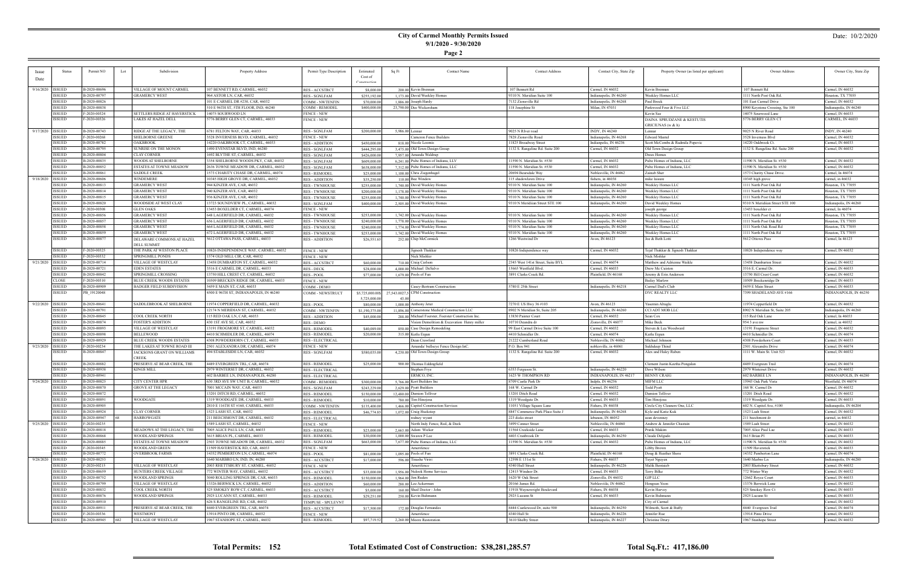## **City of Carmel Monthly Permits Issued 9/1/2020 - 9/30/2020**

**Page 2**

### Date: 10/2/2020

| <b>Issue</b>       | <b>Status</b>                  | Permit NO                    | Lot<br>Subdivision                                  | Property Address                                                       | Permit Type Description                        | Estimated                    | Sq Ft<br><b>Contact Name</b>                                                | <b>Contact Address</b>                             | Contact City, State Zip                     | Property Owner (as listed per applicant)        | Owner Address                                          | Owner City, State Zip                      |
|--------------------|--------------------------------|------------------------------|-----------------------------------------------------|------------------------------------------------------------------------|------------------------------------------------|------------------------------|-----------------------------------------------------------------------------|----------------------------------------------------|---------------------------------------------|-------------------------------------------------|--------------------------------------------------------|--------------------------------------------|
| Date               |                                |                              |                                                     |                                                                        |                                                | Cost of                      |                                                                             |                                                    |                                             |                                                 |                                                        |                                            |
|                    |                                |                              |                                                     |                                                                        |                                                |                              |                                                                             |                                                    |                                             |                                                 |                                                        |                                            |
| 9/16/2020   ISSUED |                                | B-2020-00696                 | VILLAGE OF MOUNT CARMEL                             | 07 BENNETT RD, CARMEL, 46032                                           | <b>RES-ACCSTRCT</b>                            | \$8,000.00                   | 200.00 Kevin Brennan                                                        | 107 Bennett Rd                                     | Carmel, IN 46032                            | Kevin Brennan                                   | 107 Bennett Rd                                         | Carmel, IN 46032                           |
|                    | <b>ISSUED</b>                  | B-2020-00797                 | <b>GRAMERCY WEST</b>                                | 964 ASTOR LN, CAR, 46032                                               | <b>RES - SGNLFAM</b>                           | \$255,192.00                 | 1,173,00 David Weekley Homes                                                | 9310 N. Meridian Suite 100                         | Indianapolis, IN 46260                      | Weekley Homes LLC                               | 1111 North Post Oak Rd.                                | Iouston, TX 77055                          |
|                    | <b>ISSUED</b><br><b>ISSUED</b> | B-2020-00826<br>B-2020-00838 |                                                     | 101 E CARMEL DR #230, CAR, 46032                                       | <b>COMM - NWTENFIN</b>                         | \$70,000.00                  | $1.886.00$ Joseph Hardy                                                     | 7132 Zionsville Rd                                 | Indianapolis, IN 46268                      | Paul Brock                                      | 101 East Carmel Drive                                  | Carmel, IN 46032                           |
|                    | <b>ISSUED</b>                  | $-2020 - 00324$              | SETTLERS RIDGE AT HAVERSTICK                        | 510 E 96TH ST, 5TH FLOOR, IND, 46240<br>14075 SOURWOOD LN              | COMM - REMODEL<br><b>FENCE - NEW</b>           | \$400,000.00                 | 23,790.00 Dee Wickersham                                                    | 118 Josephine St                                   | Milan, IN 47031                             | Parkwood Four & Five LLC<br>Kevin See           | 8900 Keystone Crossing, Ste 100<br>14075 Sourwood Lane | Indianapolis, IN 46240<br>Carmel, IN 46033 |
|                    | <b>ISSUED</b>                  | F-2020-00326                 | LAKES AT HAZEL DELL                                 | 5776 BERRY GLEN CT, CARMEL, 46033                                      | <b>FENCE - NEW</b>                             |                              |                                                                             |                                                    |                                             | DAINA SPRUDZANE & KESTUTIS                      | 5776 BERRY GLEN CT                                     | CARMEL, IN 46033                           |
|                    |                                |                              |                                                     |                                                                        |                                                |                              |                                                                             |                                                    |                                             | GRICIUNAS (w & h)                               |                                                        |                                            |
| 9/17/2020          | <b>ISSUED</b>                  | B-2020-00743                 | RIDGE AT THE LEGACY, THE                            | 6781 FELTON WAY, CAR, 46033                                            | <b>RES - SGNLFAM</b>                           | \$200,000.00                 | 5,986,00 Lennar                                                             | 9025 N RIver road                                  | INDY, IN 46240                              | Lennar                                          | 9025 N River Road                                      | INDY, IN 46240                             |
|                    | ISSUED                         | F-2020-00268                 | SHELBORNE GREENE                                    | 3528 INVERNESS BLVD, CARMEL, 46032                                     | <b>FENCE - NEW</b>                             |                              | Cameron Fence Builders                                                      | 7828 Zionsville Road                               | Indianapolis, IN 46268                      | Edward Mantel                                   | 3528 Inverness Blvd                                    | Carmel, IN 46032                           |
|                    | <b>ISSUED</b>                  | B-2020-00782                 | <b>OAKBROOK</b>                                     | 14220 OAKBROOK CT, CARMEL, 46033                                       | <b>RES - ADDITION</b>                          | \$450,000.00                 | 818.00 Nicole Loomis                                                        | 1825 Broadway Street                               | Indianpolis, IN 46236                       | Scott McCombs & Radmila Popovic                 | 14220 Oakbrook Ct.                                     | Carmel, IN 46033                           |
|                    | ISSUED                         | B-2020-00795                 | SUNRISE ON THE MONON                                | 1490 EVENSTAR BLVD, IND, 46280                                         | <b>RES - SGNLFAM</b>                           | \$444,295.00                 | 3,475.00 Old Town Design Group                                              | 1132 S. Rangeline Rd. Suite 200                    | Carmel, IN 46032                            | Old Town Design Group                           | 1132 S. Rangeline Rd. Suite 200                        | Carmel, IN 46032                           |
|                    | <b>ISSUED</b>                  | B-2020-00804                 | <b>CLAY CORNER</b>                                  | 1692 BLYTHE ST, CARMEL, 46032                                          | <b>RES - SGNLFAM</b>                           | \$426,000.00                 | 7,957.00 Amanda Waldrup                                                     |                                                    |                                             | Drees Homes                                     |                                                        |                                            |
|                    | ISSUED                         | B-2020-00835                 | WOODS AT SHELBORNE                                  | 3354 SHELBORNE WOODS PKY, CAR, 46032                                   | <b>RES - SGNLFAM</b>                           | \$609,000.00                 | 6.241.00 Pulte Homes of Indiana, LLV                                        | 11590 N. Meridian St. #530                         | Carmel, IN 46032                            | Pulte Homes of Indiana, LLC                     | 11590 N. Meridian St. #530                             | Carmel, IN 46032                           |
|                    | <b>ISSUED</b>                  | B-2020-00852                 | <b>ESTATES AT TOWNE MEADOW</b>                      | 2636 TOWNE MEADOW DR, CARMEL, 46032                                    | <b>RES - SGNLFAM</b>                           | \$638,000.00                 | 7,312.00 Pulte Homes of Indiana, LLC                                        | 1590 N. Meridian St. #530                          | Carmel, IN 46032                            | Pulte Homes of Indiana, LLC                     | 11590 N. Meridian St. #530                             | Carmel, IN 46032                           |
|                    | <b>ISSUED</b>                  | B-2020-00861                 | <b>SADDLE CREEK</b>                                 | 1573 CHARITY CHASE DR, CARMEL, 46074                                   | <b>RES - REMODEI</b>                           | \$25,000.00                  | 1,100.00 Chris Ziegenhagel                                                  | 20694 Bearsdale Way                                | Noblesville, IN 46062                       | Zainab Sher                                     | 1573 Charity Chase Drive.                              | Carmel, In 46074                           |
| 9/18/2020   ISSUED | <b>ISSUED</b>                  | B-2020-00606<br>B-2020-00813 | WINDEMERE<br><b>GRAMERCY WEST</b>                   | 10345 HIGH GROVE DR, CARMEL, 46032<br>944 KINZER AVE, CAR, 46032       | <b>RES - ADDITION</b><br><b>RES - TWNHOUSE</b> | \$35,250.00<br>\$255,000.00  | 110.00 Bee Window<br>1.740.00 David Weekley Homes                           | 115 shadowlawn Drive<br>9310 N. Meridian Suite 100 | fishers, in 46038<br>Indianapolis, IN 46260 | mike laisure<br>Weekley Homes LLC               | 10345 high grove<br>111 North Post Oak Rd              | carmel, in 46032<br>Iouston, TX 77055      |
|                    | <b>ISSUED</b>                  | B-2020-00814                 | <b>GRAMERCY WEST</b>                                | 940 KINZER AVE, CAR, 46032                                             | <b>RES - TWNHOUSE</b>                          | \$200,000.00                 | 1.178.00 David Weekley Homes                                                | 9310 N. Meridian Suite 100                         | Indianapolis, IN 46260                      | Weekley Homes LLC                               | 1111 North Post Oak Rd                                 | Houston, TX 77055                          |
|                    | <b>ISSUED</b>                  | B-2020-00815                 | <b>GRAMERCY WEST</b>                                | 936 KINZER AVE, CAR, 46032                                             | <b>RES - TWNHOUSE</b>                          | \$255,000.00                 | 1,740,00 David Weekley Homes                                                | 9310 N. Meridian Suite 100                         | Indianapolis, IN 46260                      | Weekley Homes LLC                               | 1111 North Post Oak Rd                                 | Iouston, TX 77055                          |
|                    | <b>ISSUED</b>                  | B-2020-00820                 | WOODSIDE AT WEST CLAY                               | 13723 SOUNDVIEW PL, CARMEL, 46032                                      | <b>RES - SGNLFAM</b>                           | \$400,000.00                 | 2,505.00 David Weekley Homes                                                | 9310 N Meridiian Street STE 100                    | Indianapolis, IN 46260                      | David Weekley Homes                             | 9310 N Meridiian Street STE 100                        | Indianapolis, IN 46260                     |
|                    | <b>ISSUED</b>                  | F-2020-00308                 | <b>GLEN OAKS</b>                                    | 13453 BOXELDER CT, CARMEL, 46074                                       | <b>FENCE - NEW</b>                             |                              |                                                                             |                                                    |                                             | oseph george                                    | 13453 boxelder ct                                      | carmel, In 46074                           |
|                    | <b>ISSUED</b>                  | B-2020-00856                 | <b>GRAMERCY WEST</b>                                | 648 LAGERFIELD DR, CARMEL, 46032                                       | <b>RES - TWNHOUSE</b>                          | \$253,000.00                 | 1,742.00 David Weekley Homes                                                | 9310 N. Meridian Suite 100                         | Indianapolis, IN 46260                      | Weekley Homes LLC                               | 1111 North Post Oak Rd                                 | Iouston, TX 77055                          |
|                    | ISSUED                         | B-2020-00857                 | <b>GRAMERCY WEST</b>                                | 656 LAGERFIELD DR, CARMEL, 46032                                       | <b>RES - TWNHOUSE</b>                          | \$240,000.00                 | 1,778.00 David Weekley Homes                                                | 9310 N. Meridian Suite 100                         | Indianapolis, IN 46260                      | Weekley Homes LLC                               | 1111 North Post Oak Rd                                 | Iouston, TX 77055                          |
|                    | <b>ISSUED</b>                  | B-2020-00858                 | <b>GRAMERCY WEST</b>                                | 664 LAGERFIELD DR, CARMEL, 46032                                       | <b>RES - TWNHOUSE</b>                          | \$240,000.00                 | 1,774.00 David Weekley Homes                                                | 9310 N. Meridian Suite 100                         | Indianapolis, IN 46260                      | Weekley Homes LLC                               | 1111 North Oak Road Rd                                 | Iouston, TX 77055                          |
|                    | <b>ISSUED</b>                  | B-2020-00859                 | <b>GRAMERCY WEST</b>                                | 672 LAGERFIELD DR, CARMEL, 46032                                       | <b>RES - TWNHOUSE</b>                          | \$253,000.00                 | 1,742.00 David Weekley Homes                                                | 9310 N. Meridian Suite 100                         | Indianapolis, IN 46260                      | Weekley Homes LLC                               | 1111 North Post Oak Rd                                 | Iouston, TX 77055                          |
|                    | ISSUED                         | B-2020-00877                 | DELAWARE COMMONS AT HAZEL                           | 5612 OTTAWA PASS, CARMEL, 46033                                        | <b>RES - ADDITION</b>                          | \$26,551.65                  | 252.00 Chip McCormick                                                       | 1266 Westwind Dr                                   | Avon, IN 46123                              | Joe & Beth Lotti                                | 5612 Ottowa Pass                                       | Carmel, In 46123                           |
|                    |                                |                              | <b>DELL SUMMIT</b>                                  |                                                                        |                                                |                              |                                                                             |                                                    |                                             |                                                 |                                                        |                                            |
|                    | ISSUED<br><b>ISSUED</b>        | F-2020-00325<br>F-2020-00332 | THE PARK AT WESTON PLACE<br><b>SPRINGMILL PONDS</b> | 10826 INDEPENDENCE WAY, CARMEL, 46032<br>1574 OLD MILL CIR, CAR, 46032 | <b>FENCE - NEW</b>                             |                              | Jignesh Thakkar<br>Nick Mishler                                             | 0826 Independence way                              | Carmel, IN 46032                            | Fejal Thakkar & Jignesh Thakkar<br>Nick Mishler | 10826 Independence way                                 | Carmel, IN 46032                           |
| 9/21/2020          | <b>ISSUED</b>                  | B-2020-00714                 | VILLAGE OF WESTCLAY                                 | 13458 DUMBARTON ST, CARMEL, 46032                                      | <b>FENCE - NEW</b><br><b>RES-ACCSTRCT</b>      | \$60,000,00                  | 710.00 Craig Carlson                                                        | 2345 West 141st Street, Suite BYL                  | Carmel, IN 46074                            | Matthew and Adrienne Waikle                     | 13458 Dumbarton Street                                 | Carmel, IN 46032                           |
|                    | <b>ISSUED</b>                  | B-2020-00721                 | <b>EDEN ESTATES</b>                                 | 3516 E CARMEL DR, CARMEL, 46033                                        | <b>RES - DECK</b>                              | \$28,000.00                  | 4.000.00 Michael DeSalvo                                                    | 15665 Westfield Blvd                               | Carmel, IN 46033                            | Drew Mc Cuiston                                 | 3516 E. Carmel Dr.                                     | Carmel, IN 46033                           |
|                    | ISSUED                         | B-2020-00842                 | SPRINGMILL CROSSING                                 | 13750 HILL CREST CT, CARMEL, 46032                                     | <b>RES - POOL</b>                              | \$77,000.00                  | 1,679.00 Pools of Fun                                                       | 3891 Clarks Creek Rd.                              | Plainfield, IN 46168                        | Jeremy & Erin Anderson                          | 13750 Hill Crest Cour                                  | Carmel, IN 46032                           |
|                    | <b>CLOSE</b>                   | F-2020-00310                 | <b>BLUE CREEK WOODS ESTATES</b>                     | 10509 BRECKEN RIDGE DR, CARMEL, 46033                                  | <b>FENCE - NEW</b>                             |                              |                                                                             |                                                    |                                             | <b>Bailey Marlow</b>                            | 10509 Breckenridge Dr                                  | Carmel, IN 46033                           |
|                    | <b>ISSUED</b>                  | B-2020-00909                 | <b>BADGER FIELD SUBDIVISION</b>                     | 5459 E MAIN ST, CAR, 46033                                             | COMM - DEMO                                    |                              | `asey-Bertram Construction                                                  | 5780 E 25th Street                                 | Indianapolis, IN 46218                      | Carmel Dad's Club                               | 5459 E Main Street                                     | Carmel, IN 46033                           |
|                    | ISSUED                         | PB 19120048                  |                                                     | 4500 E 96TH ST, INDIANAPOLIS, IN 46240                                 | COMM - NEWSTRUCT                               | \$5,725,000.00\$             | 27,543.0027,5 CPM Construction                                              |                                                    |                                             | DYC REALTY LLC                                  | 7399 SHADELAND AVE #166                                | INDIANAPOLIS, IN 46250                     |
|                    |                                |                              |                                                     |                                                                        |                                                | 5,725,000.00                 |                                                                             |                                                    |                                             |                                                 |                                                        |                                            |
| 9/22/2020 ISSUED   |                                | B-2020-00641                 | SADDLEBROOK AT SHELBORNE                            | 11974 COPPERFIELD DR, CARMEL, 46032                                    | <b>RES - POOL</b>                              | \$80,000.00                  | $1,000,00$ Anthony Jeter                                                    | 7270 E US Hwy 36 #103                              | Avon, IN 46123                              | Yasemin Altuglu                                 | 11974 Copperfield Dr                                   | Carmel, IN 46032                           |
|                    | ISSUED                         | B-2020-00791                 |                                                     | 12174 N MERIDIAN ST, CARMEL, 46032                                     | <b>COMM - NWTENFIN</b>                         | \$1,190,375.00               | 11,896.00 Cornerstone Medical Construction LLC                              | 8902 N Meridian St, Suite 205                      | Indianapolis, IN 46260                      | CCI ADT MOB LLC                                 | 8902 N Meridian St, Suite 205                          | Indianapolis, IN 46260                     |
|                    | <b>ISSUED</b>                  | B-2020-00845                 | COOL CREEK NORTH                                    | 115 RED OAK LN, CAR, 46033                                             | <b>RES - ADDITION</b>                          | \$45,000.00                  | 288.00 Michael Foerster, Foerster Construction Inc.                         | 3830 Painter Court                                 | Carmel, IN 46032                            | Sean Cox                                        | 115 Red Oak Lane                                       | Carmel, In 46033                           |
|                    | <b>ISSUED</b><br><b>ISSUED</b> | B-2020-00874<br>B-2020-00893 | FOSTER'S ADDITION<br>VILLAGE OF WESTCLAY            | 430 1ST AVE SE, CAR, 46032<br>13191 FROGMORE ST, CARMEL, 46032         | <b>RES - DEMO</b><br><b>RES - REMODEL</b>      | \$40,089.00                  | ision Demolition & Excavation Henry miller<br>850.00 Case Design Remodeling | 10710 Deandra dr<br>99 East Carmel Drive Suite 100 | Zionsville, IN 46077<br>Carmel, IN 46032    | Mike Beck<br>Steven & Lea Woodward              | 954 3 ave nw<br>13191 Frogmore Street                  | Carmel, in 46032<br>Carmel, IN 46032       |
|                    | <b>ISSUED</b>                  | B-2020-00898                 | BELLEWOOD                                           | 4410 SCHMIDLER DR, CARMEL, 46074                                       | <b>RES - REMODEL</b>                           | \$20,000.00                  | 315.00 Kutlu Ergun                                                          | 4410 Schmidler Dr.                                 | Carmel, IN 46074                            | Kutlu Ergun                                     | 4410 Schmidler Dr.                                     | Carmel, IN 46074                           |
|                    | <b>ISSUED</b>                  | B-2020-00929                 | <b>BLUE CREEK WOODS ESTATES</b>                     | 4308 POWDERHORN CT, CARMEL, 4603.                                      | <b>RES - ELECTRICAL</b>                        |                              | Dean Crawford                                                               | 21222 Cumberland Road                              | Noblesville, IN 46062                       | Michael Johnsor                                 | 4308 Powderhorn Court                                  | Carmel, IN 46033                           |
| 9/23/2020   ISSUED |                                | F-2020-00234                 | THE LAKES AT TOWNE ROAD III                         | 2501 ALEXANDRA DR, CARMEL, 46074                                       | <b>FENCE - NEW</b>                             |                              | Amanda/ bullseye Fence Design InC.                                          | P.O. Box 941                                       | noblesville, in 46061                       | Sukhdeep Thind                                  | 2501 Alexandra Drive                                   | Carmel, IN 46074                           |
|                    | ISSUED                         | B-2020-00847                 | JACKSONS GRANT ON WILLIAMS                          | 494 STABLESIDE LN, CAR, 46032                                          | <b>RES - SGNLFAM</b>                           | \$580,035.00                 | 4,230.00 Old Town Design Group                                              | 1132 S. Rangeline Rd. Suite 200                    | Carmel, IN 46032                            | Alex and Haley Raben                            | 1111 W. Main St. Unit 523                              | Carmel, IN 46032                           |
|                    |                                |                              | <b>CREEK</b>                                        |                                                                        |                                                |                              |                                                                             |                                                    |                                             |                                                 |                                                        |                                            |
|                    | ISSUED                         | B-2020-00882                 | PRESERVE AT BEAR CREEK, THE                         | 4489 EVERGREEN TRL, CAR, 46074                                         | <b>RES - REMODEL</b>                           | \$25,000.00                  | 900.00 Thomas Eddingfield                                                   |                                                    |                                             | Clement Justin Keetha Pongalan                  | 4489 Evergreen Trail                                   | Carmel, IN 46074                           |
|                    | ISSUED                         | B-2020-00938                 | <b>KINGS MILL</b>                                   | 2979 WINTERSET DR, CARMEL, 46032                                       | <b>RES - ELECTRICAL</b>                        |                              | Stephen Frye                                                                | 6353 Ferguson St.                                  | Indianapolis, IN 46220                      | Dave Wilson                                     | 2979 Winterset Drive                                   | Carmel, IN 46032                           |
|                    | <b>ISSUED</b>                  | B-2020-00941                 |                                                     | 602 BARBEE LN, INDIANAPOLIS, 46280                                     | <b>RES - ELECTRICAL</b>                        |                              | ERMCO, INC                                                                  | 1625 W THOMPSON RD                                 | INDIANAPOLIS, IN 46217                      | BENNY CRAIG                                     | 602 BARBEE LN                                          | INDIANAPOLIS, IN 46280                     |
| 9/24/2020   ISSUED |                                | B-2020-00825                 | <b>CITY CENTER HPR</b>                              | 630 3RD AVE SW UNIT B, CARMEL, 46032                                   | COMM - REMODEI                                 | \$300,000,00                 | 5,766,00 Kort Builders Inc                                                  | 8709 Castle Park Di                                | Indpls, IN 46256                            | MIFM LLC                                        | 15943 Oak Park Vista                                   | Westfield, IN 46074                        |
|                    | <b>ISSUED</b><br>ISSUED        | B-2020-00870<br>B-2020-00872 | <b>GROVE AT THE LEGACY</b>                          | 7001 MCCAIN WAY, CAR, 46033<br>3201 DITCH RD, CARMEL, 46032            | <b>RES - SGNLFAM</b>                           | \$243,229.00                 | 2,629.00 Pyatt Builders                                                     | 168 W. Carmel Dr<br>13201 Ditch Road               | Carmel, IN 46032<br>Carmel, IN 46032        | <b>Fodd Pyatt</b><br>Damion Tolliver            | 168 W. Carmel Dr<br>13201 Ditch Road                   | Carmel, IN 46032<br>Carmel. IN 46032       |
|                    | <b>ISSUED</b>                  | B-2020-00891                 | <b>WOODGATE</b>                                     | 1319 WOODGATE DR, CARMEL, 46033                                        | RES - REMODEL<br><b>RES - REMODEL</b>          | \$150,000,001<br>\$10,000,00 | $12,480.00$ Damion Tomver<br>780.00 Tim Hinojosa                            | 1319 Woodgate Dr.                                  | Carmel, IN 46033                            | Tim Hinojosa                                    | 1319 Woodgate Dr.                                      | Carmel, IN 46033                           |
|                    | ISSUED                         | B-2020-00905                 |                                                     | 2810 E 116TH ST #160, CARMEL, 46033                                    | <b>COMM - NWTENFIN</b>                         | \$135,400.00                 | 1,466,00 Capitol Construction Services                                      | 11051 Village Square Lane                          | Fishers, IN 46038                           | Circle City Cleaners One, LLC                   | 602 N. Capitol Ave, #100                               | Indianapolis, IN 46204                     |
|                    | ISSUED                         | B-2020-00924                 | <b>CLAY CORNER</b>                                  | 1523 LASH ST, CAR, 46032                                               | <b>RES - REMODEL</b>                           | \$46,774.85                  | 1,072.00 Craig Huckstep                                                     | 8847 Commerce Park Place Suite J                   | Indianapolis, IN 46268                      | Kyle and Katie Kuk                              | 1523 Lash Street                                       | Carmel, IN 46032                           |
|                    | <b>ISSUED</b>                  | B-2020-00947                 | <b>HARROWGATE</b>                                   | 211 BEECHMONT DR, CARMEL, 46032                                        | <b>RES - ELECTRICAL</b>                        |                              | rodney wyant                                                                | 223 dicks street                                   | lebanon, IN 46052                           | sean devenney                                   | 211 beechmont dr                                       | carmel, in 46032                           |
| 9/25/2020          | <b>ISSUED</b>                  | $F-2020-00235$               |                                                     | 1589 LASH ST, CARMEL, 46032                                            | <b>FENCE - NEW</b>                             |                              | North Indy Fence, Rail, & Deck                                              | 3499 Conner Street                                 | Noblesville, IN 46060                       | Andrew & Jennifer Chastain                      | 1589 Lash Street                                       | Carmel, IN 46032                           |
|                    | ISSUED                         | B-2020-00818                 | MEADOWS AT THE LEGACY, THE                          | 7005 ALICE PAUL LN, CAR, 46033                                         | <b>RES - REMODEL</b>                           | \$23,000.00                  | 2,663.00 Adam Wicker                                                        | 11564 Creekside Lane                               | Carmel, IN 46033                            | Pratik Makim                                    | 7005 Alice Paul Lae                                    | Carmel, IN 46033                           |
|                    | ISSUED                         | B-2020-00868                 | <b>WOODLAND SPRINGS</b>                             | 3615 BRIAN PL, CARMEL, 46033                                           | <b>RES - REMODEL</b>                           | \$30,000.00                  | 1,000.00 Swawn P Lee                                                        | 4403 Cranbrook Dr                                  | Indianapolis, IN 46250                      | Claude Delgado                                  | 3615 Brian Pl                                          | Carmel, IN 46033                           |
|                    | <b>ISSUED</b>                  | B-2020-00885                 | ESTATES AT TOWNE MEADOW                             | 2503 TOWNE MEADOW DR, CARMEL, 46032                                    | <b>RES - SGNLFAM</b>                           | \$663,000.00                 | 7,677,00 Pulte Homes of Indiana, LLC                                        | 11590 N. Meridian St. #530                         | Carmel, IN 46032                            | Pulte Homes of Indiana, LLC                     | 11590 N. Meridian St. #530                             | Carmel, IN 46032                           |
|                    | <b>ISSUED</b>                  | F-2020-00345                 | WOODLAND GREEN                                      | 11509 HAVERSTICK RD, CAR, 46033                                        | <b>FENCE - NEW</b>                             |                              | Amerifence                                                                  |                                                    |                                             | Libby Brown                                     | 11509 Haverstick                                       | Carmel, IN 46033                           |
|                    | <b>ISSUED</b>                  | B-2020-00772                 | <b>OVERBROOK FARMS</b>                              | 14352 PEMBERTON LN, CARMEL, 46074                                      | RES - POOL                                     | \$81,000.00                  | 1.095.00 Pools of Fun                                                       | 3891 Clarks Creek Rd.                              | Plainfield, IN 46168                        | Doug & Heather Shore                            | 14352 Pemberton Lane                                   | Carmel, IN 46074                           |
| 9/28/2020          | <b>ISSUED</b>                  | B-2020-00253                 |                                                     | 1640 MARBRO LN, IND, IN, 46280                                         | <b>RES-ACCSTRCT</b>                            | \$17,000.00                  | 596.00 Tinashe Viriri                                                       | 12598 E 131st St<br>4340 Hull Street               | Fishers, IN 46037                           | Tuyet Nguyen                                    | 1640 Marbro Ln                                         | Indianapolis, IN 46280                     |
|                    | ISSUED<br>ISSUED               | F-2020-00215<br>B-2020-00659 | VILLAGE OF WESTCLAY<br>HUNTERS CREEK VILLAGE        | 2003 RHETTSBURY ST, CARMEL, 46032<br>72 WINTER WAY, CARMEL, 46032      | <b>FENCE - NEW</b><br><b>RES-ACCSTRCT</b>      | \$33,000.00                  | Amerifence<br>1,956.00 Nulook Home Services                                 | 12415 Windsor Dr.                                  | Indianapolis, IN 46226<br>Carmel, IN 46033  | Malik Bentaieb<br>Terry Bilke                   | 2003 Rhettsbury Street<br>772 Winter Way               | Carmel, IN 46032<br>Carmel, IN 46032       |
|                    | <b>ISSUED</b>                  | B-2020-00752                 | WOODLAND SPRINGS                                    | 3040 ROLLING SPRINGS DR, CAR, 46033                                    | <b>RES - REMODEL</b>                           | \$150,000,00                 | 1,964,00 Jim Ruden                                                          | 1620 W Oak Street                                  | Zionsville, IN 46032                        | <b>GJP LLC</b>                                  | 12662 Royce Court                                      | Carmel, IN 46033                           |
|                    | ISSUED                         | B-2020-00799                 | VILLAGE OF WESTCLAY                                 | 13326 BERWICK LN, CARMEL, 46032                                        | <b>RES - ADDITION</b>                          | \$60,000,00                  | 288.00 Lee Ackerman                                                         | 20166 James Rd.                                    | Noblesviile, IN 46062                       | Hongsun Yoon                                    | 13376 Berwick Lane                                     | Carmel, IN 46032                           |
|                    | ISSUED                         | B-2020-00832                 | COOL CREEK NORTH                                    | 525 SMOKEY ROW CT, CARMEL, 46033                                       | <b>RES-ACCSTRCT</b>                            | \$5,000.00                   | 160.00 Shed Doctor - John                                                   | 11918 Waynewright Boulevard                        | Fishers, IN 46038                           | Kevin Harvey                                    | 525 Smokey Row Ct                                      | Carmel, IN 46033                           |
|                    | <b>ISSUED</b>                  | B-2020-00876                 | <b>WOODLAND SPRINGS</b>                             | 2925 LUCANN ST, CARMEL, 46033                                          | <b>RES - REMODEL</b>                           | \$29,251.00                  | 250.00 Kevin Buhmann                                                        | 2925 Lucann St                                     | Carmel, IN 46033                            | Kevin Buhmann                                   | 2925 Lucann St                                         | Carmel, IN 46033                           |
|                    | ISSUED                         | B-2020-00910                 |                                                     | 626 S RANGELINE RD, CAR, 46032                                         | TEMPUSE - SPCLEVNT                             |                              |                                                                             |                                                    |                                             | City of Carmel                                  |                                                        | Carmel, IN 46032                           |
|                    | ISSUED                         | B-2020-00911                 | PRESERVE AT BEAR CREEK, THE                         | 4440 EVERGREEN TRL, CAR, 46074                                         | <b>RES-ACCSTRCT</b>                            | \$17,500.00                  | 172.00 Douglas Fernandes                                                    | 8444 Castlewood Dr, suite 500                      | Indianapolis, IN 46250                      | Wilmoth, Scott & Buffy                          | 4440 Evergreen Trail                                   | Carmel, IN 46074                           |
|                    | <b>ISSUED</b>                  | F-2020-00336                 | WESTMONT                                            | 13914 PINTO DR, CARMEL, 46032                                          | <b>FENCE - NEW</b>                             |                              | Amerifence                                                                  | 4340 Hull St                                       | Indianapolis, IN 46226                      | Jennifer Rue                                    | 13914 Pinto Drive                                      | Carmel, IN 46032                           |
|                    | <b>ISSUED</b>                  | B-2020-00945                 | VILLAGE OF WESTCLAY<br>682                          | 1967 STANHOPE ST, CARMEL, 46032                                        | <b>RES - REMODEL</b>                           | \$97,719.52                  | 2.260.00 Moore Restoration                                                  | 3610 Shelby Street                                 | Indianapolis, IN 46227                      | Christine Drury                                 | 1967 Stanhope Street                                   | Carmel, IN 46032                           |

**Total Permits: 152 Total Estimated Cost of Construction: \$38,281,285.57 Total Sq.Ft.: 417,186.00**